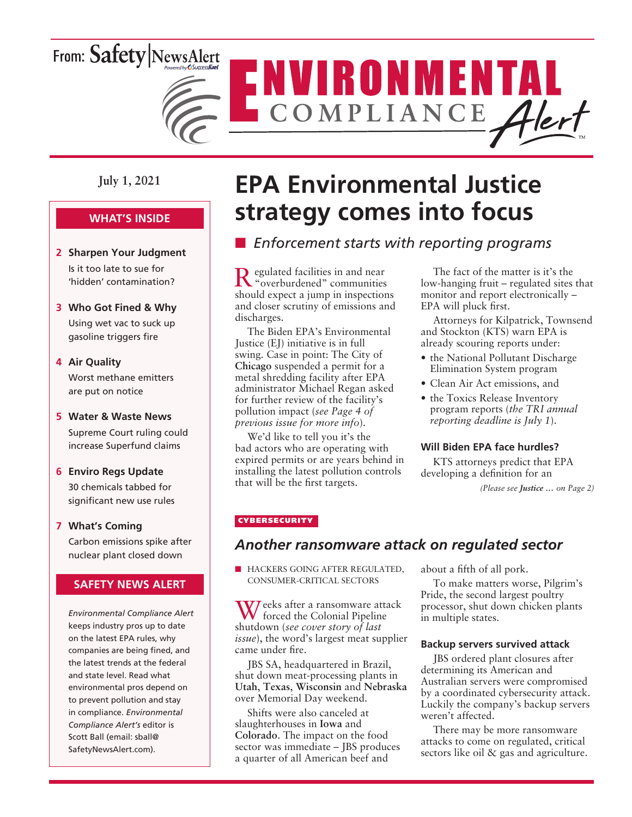# From: Safety NewsAlert



### **July 1, 2021**

### **WHAT'S INSIDE**

- **2 Sharpen Your Judgment** Is it too late to sue for 'hidden' contamination?
- **3 Who Got Fined & Why** Using wet vac to suck up gasoline triggers fire

#### **4 Air Quality**

Worst methane emitters are put on notice

#### **5 Water & Waste News**

Supreme Court ruling could increase Superfund claims

#### **6 Enviro Regs Update**

30 chemicals tabbed for significant new use rules

#### **7 What's Coming**

Carbon emissions spike after nuclear plant closed down

#### **SAFETY NEWS ALERT**

*Environmental Compliance Alert* keeps industry pros up to date on the latest EPA rules, why companies are being fined, and the latest trends at the federal and state level. Read what environmental pros depend on to prevent pollution and stay in compliance. *Environmental Compliance Alert's* editor is Scott Ball (email: sball@ SafetyNewsAlert.com).

# **EPA Environmental Justice strategy comes into focus**

## **E** *Enforcement starts with reporting programs*

Regulated facilities in and near "overburdened" communities should expect a jump in inspections and closer scrutiny of emissions and discharges.

The Biden EPA's Environmental Justice (EJ) initiative is in full swing. Case in point: The City of **Chicago** suspended a permit for a metal shredding facility after EPA administrator Michael Regan asked for further review of the facility's pollution impact (*see Page 4 of previous issue for more info*).

We'd like to tell you it's the bad actors who are operating with expired permits or are years behind in installing the latest pollution controls that will be the first targets.

The fact of the matter is it's the low-hanging fruit – regulated sites that monitor and report electronically – EPA will pluck first.

Attorneys for Kilpatrick, Townsend and Stockton (KTS) warn EPA is already scouring reports under:

- the National Pollutant Discharge Elimination System program
- Clean Air Act emissions, and
- the Toxics Release Inventory program reports (*the TRI annual reporting deadline is July 1*).

#### **Will Biden EPA face hurdles?**

KTS attorneys predict that EPA developing a definition for an

*(Please see Justice … on Page 2)*

#### **CYBERSECURITY**

### *Another ransomware attack on regulated sector*

**N HACKERS GOING AFTER REGULATED.** CONSUMER-CRITICAL SECTORS

Weeks after a ransomware attack forced the Colonial Pipeline shutdown (*see cover story of last issue*), the word's largest meat supplier came under fire.

JBS SA, headquartered in Brazil, shut down meat-processing plants in **Utah**, **Texas**, **Wisconsin** and **Nebraska**  over Memorial Day weekend.

Shifts were also canceled at slaughterhouses in **Iowa** and **Colorado**. The impact on the food sector was immediate – JBS produces a quarter of all American beef and

about a fifth of all pork.

To make matters worse, Pilgrim's Pride, the second largest poultry processor, shut down chicken plants in multiple states.

#### **Backup servers survived attack**

JBS ordered plant closures after determining its American and Australian servers were compromised by a coordinated cybersecurity attack. Luckily the company's backup servers weren't affected.

There may be more ransomware attacks to come on regulated, critical sectors like oil & gas and agriculture.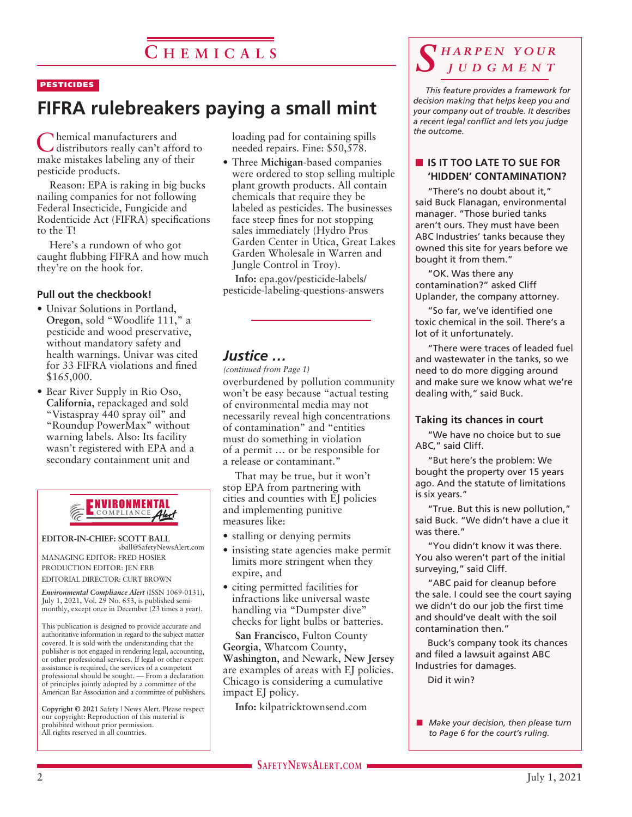#### **PESTICIDES**

# **FIFRA rulebreakers paying a small mint**

Chemical manufacturers and distributors really can't afford to make mistakes labeling any of their pesticide products.

Reason: EPA is raking in big bucks nailing companies for not following Federal Insecticide, Fungicide and Rodenticide Act (FIFRA) specifications to the T!

Here's a rundown of who got caught flubbing FIFRA and how much they're on the hook for.

#### **Pull out the checkbook!**

- Univar Solutions in Portland, **Oregon**, sold "Woodlife 111," a pesticide and wood preservative, without mandatory safety and health warnings. Univar was cited for 33 FIFRA violations and fined \$165,000.
- Bear River Supply in Rio Oso, **California**, repackaged and sold "Vistaspray 440 spray oil" and "Roundup PowerMax" without warning labels. Also: Its facility wasn't registered with EPA and a secondary containment unit and



**EDITOR-IN-CHIEF: SCOTT BALL**

sball@SafetyNewsAlert.com MANAGING EDITOR: FRED HOSIER PRODUCTION EDITOR: JEN ERB EDITORIAL DIRECTOR: CURT BROWN

*Environmental Compliance Alert* (ISSN 1069-0131),

July 1, 2021, Vol. 29 No. 653, is published semimonthly, except once in December (23 times a year). This publication is designed to provide accurate and

authoritative information in regard to the subject matter covered. It is sold with the understanding that the publisher is not engaged in rendering legal, accounting, or other professional services. If legal or other expert assistance is required, the services of a competent professional should be sought. — From a declaration of principles jointly adopted by a committee of the American Bar Association and a committee of publishers.

**Copyright © 2021** Safety | News Alert. Please respect our copyright: Reproduction of this material is prohibited without prior permission. All rights reserved in all countries.

loading pad for containing spills needed repairs. Fine: \$50,578.

• Three **Michigan**-based companies were ordered to stop selling multiple plant growth products. All contain chemicals that require they be labeled as pesticides. The businesses face steep fines for not stopping sales immediately (Hydro Pros Garden Center in Utica, Great Lakes Garden Wholesale in Warren and Jungle Control in Troy).

**Info:** epa.gov/pesticide-labels/ pesticide-labeling-questions-answers

#### *Justice …*

*(continued from Page 1)*

overburdened by pollution community won't be easy because "actual testing of environmental media may not necessarily reveal high concentrations of contamination" and "entities must do something in violation of a permit … or be responsible for a release or contaminant."

That may be true, but it won't stop EPA from partnering with cities and counties with EJ policies and implementing punitive measures like:

- stalling or denying permits
- insisting state agencies make permit limits more stringent when they expire, and
- citing permitted facilities for infractions like universal waste handling via "Dumpster dive" checks for light bulbs or batteries.

**San Francisco**, Fulton County **Georgia**, Whatcom County, **Washington**, and Newark, **New Jersey** are examples of areas with EJ policies. Chicago is considering a cumulative impact EJ policy.

**Info:** kilpatricktownsend.com

## *S h a r p e n y o u r j u d g m e n t*

*This feature provides a framework for decision making that helps keep you and your company out of trouble. It describes a recent legal conflict and lets you judge the outcome.*

#### **N** IS IT TOO LATE TO SUE FOR **'HIDDEN' CONTAMINATION?**

"There's no doubt about it," said Buck Flanagan, environmental manager. "Those buried tanks aren't ours. They must have been ABC Industries' tanks because they owned this site for years before we bought it from them."

"OK. Was there any contamination?" asked Cliff Uplander, the company attorney.

"So far, we've identified one toxic chemical in the soil. There's a lot of it unfortunately.

"There were traces of leaded fuel and wastewater in the tanks, so we need to do more digging around and make sure we know what we're dealing with," said Buck.

#### **Taking its chances in court**

"We have no choice but to sue ABC," said Cliff.

"But here's the problem: We bought the property over 15 years ago. And the statute of limitations is six years."

"True. But this is new pollution," said Buck. "We didn't have a clue it was there."

"You didn't know it was there. You also weren't part of the initial surveying," said Cliff.

"ABC paid for cleanup before the sale. I could see the court saying we didn't do our job the first time and should've dealt with the soil contamination then."

Buck's company took its chances and filed a lawsuit against ABC Industries for damages.

Did it win?

**n** *Make your decision, then please turn to Page 6 for the court's ruling.*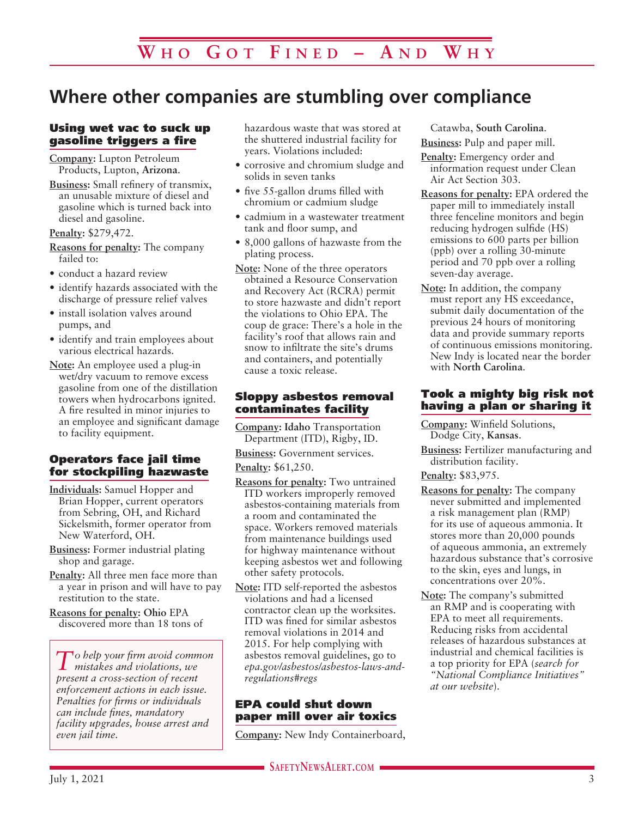# **Where other companies are stumbling over compliance**

#### Using wet vac to suck up gasoline triggers a fire

**Company:** Lupton Petroleum Products, Lupton, **Arizona**.

**Business:** Small refinery of transmix, an unusable mixture of diesel and gasoline which is turned back into diesel and gasoline.

**Penalty:** \$279,472.

- **Reasons for penalty:** The company failed to:
- conduct a hazard review
- identify hazards associated with the discharge of pressure relief valves
- install isolation valves around pumps, and
- identify and train employees about various electrical hazards.
- **Note:** An employee used a plug-in wet/dry vacuum to remove excess gasoline from one of the distillation towers when hydrocarbons ignited. A fire resulted in minor injuries to an employee and significant damage to facility equipment.

#### Operators face jail time for stockpiling hazwaste

- **Individuals:** Samuel Hopper and Brian Hopper, current operators from Sebring, OH, and Richard Sickelsmith, former operator from New Waterford, OH.
- **Business:** Former industrial plating shop and garage.
- **Penalty:** All three men face more than a year in prison and will have to pay restitution to the state.
- **Reasons for penalty: Ohio** EPA discovered more than 18 tons of

*To help your firm avoid common mistakes and violations, we present a cross-section of recent enforcement actions in each issue. Penalties for firms or individuals can include fines, mandatory facility upgrades, house arrest and even jail time.*

hazardous waste that was stored at the shuttered industrial facility for years. Violations included:

- corrosive and chromium sludge and solids in seven tanks
- five 55-gallon drums filled with chromium or cadmium sludge
- cadmium in a wastewater treatment tank and floor sump, and
- 8,000 gallons of hazwaste from the plating process.
- **Note:** None of the three operators obtained a Resource Conservation and Recovery Act (RCRA) permit to store hazwaste and didn't report the violations to Ohio EPA. The coup de grace: There's a hole in the facility's roof that allows rain and snow to infiltrate the site's drums and containers, and potentially cause a toxic release.

#### Sloppy asbestos removal contaminates facility

**Company: Idaho** Transportation Department (ITD), Rigby, ID.

**Business:** Government services.

**Penalty:** \$61,250.

- **Reasons for penalty:** Two untrained ITD workers improperly removed asbestos-containing materials from a room and contaminated the space. Workers removed materials from maintenance buildings used for highway maintenance without keeping asbestos wet and following other safety protocols.
- **Note:** ITD self-reported the asbestos violations and had a licensed contractor clean up the worksites. ITD was fined for similar asbestos removal violations in 2014 and 2015. For help complying with asbestos removal guidelines, go to *epa.gov/asbestos/asbestos-laws-andregulations#regs*

#### EPA could shut down paper mill over air toxics

**Company:** New Indy Containerboard,

Catawba, **South Carolina**.

**Business:** Pulp and paper mill.

**Penalty:** Emergency order and information request under Clean Air Act Section 303.

- **Reasons for penalty:** EPA ordered the paper mill to immediately install three fenceline monitors and begin reducing hydrogen sulfide (HS) emissions to 600 parts per billion (ppb) over a rolling 30-minute period and 70 ppb over a rolling seven-day average.
- **Note:** In addition, the company must report any HS exceedance, submit daily documentation of the previous 24 hours of monitoring data and provide summary reports of continuous emissions monitoring. New Indy is located near the border with **North Carolina**.

#### Took a mighty big risk not having a plan or sharing it

**Company:** Winfield Solutions, Dodge City, **Kansas**.

**Business:** Fertilizer manufacturing and distribution facility.

**Penalty:** \$83,975.

- **Reasons for penalty:** The company never submitted and implemented a risk management plan (RMP) for its use of aqueous ammonia. It stores more than 20,000 pounds of aqueous ammonia, an extremely hazardous substance that's corrosive to the skin, eyes and lungs, in concentrations over 20%.
- **Note:** The company's submitted an RMP and is cooperating with EPA to meet all requirements. Reducing risks from accidental releases of hazardous substances at industrial and chemical facilities is a top priority for EPA (*search for "National Compliance Initiatives" at our website*).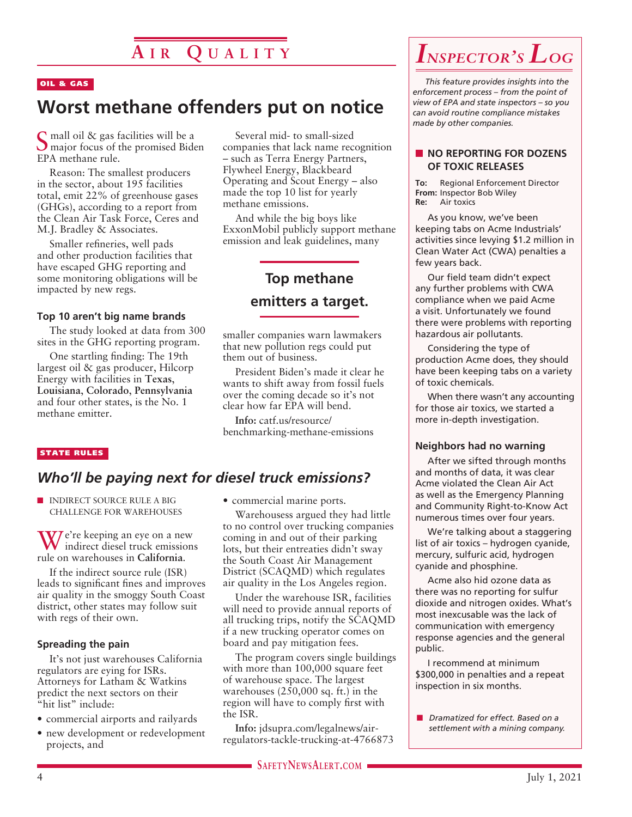#### OIL & GAS

# **Worst methane offenders put on notice**

Small oil & gas facilities will be a major focus of the promised Biden EPA methane rule.

Reason: The smallest producers in the sector, about 195 facilities total, emit 22% of greenhouse gases (GHGs), according to a report from the Clean Air Task Force, Ceres and M.J. Bradley & Associates.

Smaller refineries, well pads and other production facilities that have escaped GHG reporting and some monitoring obligations will be impacted by new regs.

#### **Top 10 aren't big name brands**

The study looked at data from 300 sites in the GHG reporting program.

One startling finding: The 19th largest oil & gas producer, Hilcorp Energy with facilities in **Texas**, **Louisiana**, **Colorado**, **Pennsylvania** and four other states, is the No. 1 methane emitter.

#### STATE RULES

### *Who'll be paying next for diesel truck emissions?*

**NUMBER INDIRECT SOURCE RULE A BIG** CHALLENGE FOR WAREHOUSES

 $\sum$ e're keeping an eye on a new indirect diesel truck emissions rule on warehouses in **California**.

If the indirect source rule (ISR) leads to significant fines and improves air quality in the smoggy South Coast district, other states may follow suit with regs of their own.

#### **Spreading the pain**

It's not just warehouses California regulators are eying for ISRs. Attorneys for Latham & Watkins predict the next sectors on their "hit list" include:

- commercial airports and railyards
- new development or redevelopment projects, and

• commercial marine ports.

Several mid- to small-sized companies that lack name recognition – such as Terra Energy Partners, Flywheel Energy, Blackbeard Operating and Scout Energy – also made the top 10 list for yearly

And while the big boys like ExxonMobil publicly support methane emission and leak guidelines, many

**Top methane** 

**emitters a target.** 

President Biden's made it clear he wants to shift away from fossil fuels over the coming decade so it's not clear how far EPA will bend. **Info:** catf.us/resource/ benchmarking-methane-emissions

smaller companies warn lawmakers that new pollution regs could put

methane emissions.

them out of business.

Warehousess argued they had little to no control over trucking companies coming in and out of their parking lots, but their entreaties didn't sway the South Coast Air Management District (SCAQMD) which regulates air quality in the Los Angeles region.

Under the warehouse ISR, facilities will need to provide annual reports of all trucking trips, notify the SCAQMD if a new trucking operator comes on board and pay mitigation fees.

The program covers single buildings with more than 100,000 square feet of warehouse space. The largest warehouses (250,000 sq. ft.) in the region will have to comply first with the ISR.

**Info:** jdsupra.com/legalnews/airregulators-tackle-trucking-at-4766873

# *Inspector's Log*

*This feature provides insights into the enforcement process – from the point of view of EPA and state inspectors – so you can avoid routine compliance mistakes made by other companies.*

#### **NO REPORTING FOR DOZENS OF TOXIC RELEASES**

**To:** Regional Enforcement Director **From:** Inspector Bob Wiley **Re:** Air toxics

As you know, we've been keeping tabs on Acme Industrials' activities since levying \$1.2 million in Clean Water Act (CWA) penalties a few years back.

Our field team didn't expect any further problems with CWA compliance when we paid Acme a visit. Unfortunately we found there were problems with reporting hazardous air pollutants.

Considering the type of production Acme does, they should have been keeping tabs on a variety of toxic chemicals.

When there wasn't any accounting for those air toxics, we started a more in-depth investigation.

#### **Neighbors had no warning**

After we sifted through months and months of data, it was clear Acme violated the Clean Air Act as well as the Emergency Planning and Community Right-to-Know Act numerous times over four years.

We're talking about a staggering list of air toxics – hydrogen cyanide, mercury, sulfuric acid, hydrogen cyanide and phosphine.

Acme also hid ozone data as there was no reporting for sulfur dioxide and nitrogen oxides. What's most inexcusable was the lack of communication with emergency response agencies and the general public.

I recommend at minimum \$300,000 in penalties and a repeat inspection in six months.

**n** *Dramatized for effect. Based on a settlement with a mining company.*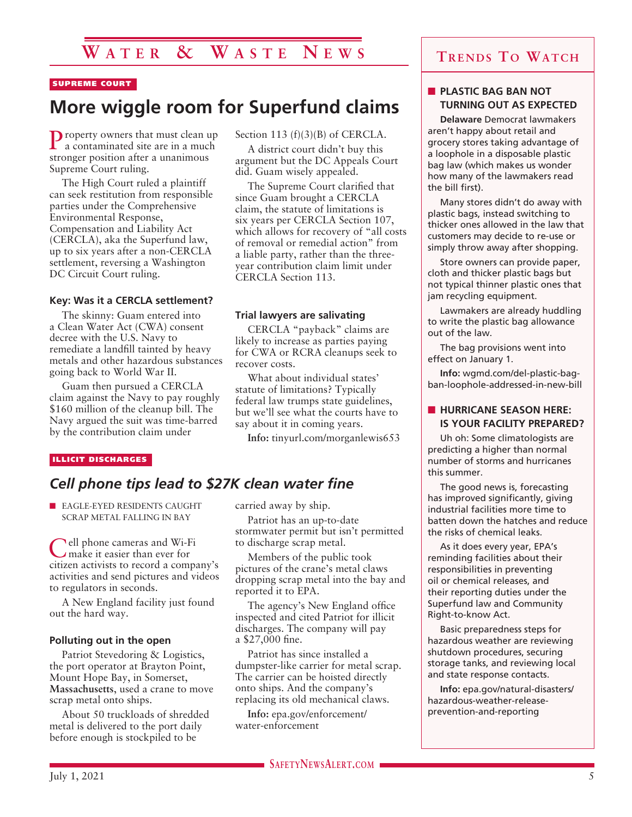# **W a t e r & W a s t e N e w s**

#### SUPREME COURT

# **More wiggle room for Superfund claims**

Property owners that must clean up a contaminated site are in a much stronger position after a unanimous Supreme Court ruling.

The High Court ruled a plaintiff can seek restitution from responsible parties under the Comprehensive Environmental Response, Compensation and Liability Act (CERCLA), aka the Superfund law, up to six years after a non-CERCLA settlement, reversing a Washington DC Circuit Court ruling.

#### **Key: Was it a CERCLA settlement?**

The skinny: Guam entered into a Clean Water Act (CWA) consent decree with the U.S. Navy to remediate a landfill tainted by heavy metals and other hazardous substances going back to World War II.

Guam then pursued a CERCLA claim against the Navy to pay roughly \$160 million of the cleanup bill. The Navy argued the suit was time-barred by the contribution claim under

#### ILLICIT DISCHARGES

### *Cell phone tips lead to \$27K clean water fine*

**N** EAGLE-EYED RESIDENTS CAUGHT SCRAP METAL FALLING IN BAY

**Pell phone cameras and Wi-Fi** make it easier than ever for citizen activists to record a company's activities and send pictures and videos to regulators in seconds.

A New England facility just found out the hard way.

#### **Polluting out in the open**

Patriot Stevedoring & Logistics, the port operator at Brayton Point, Mount Hope Bay, in Somerset, **Massachusetts**, used a crane to move scrap metal onto ships.

About 50 truckloads of shredded metal is delivered to the port daily before enough is stockpiled to be

#### Section 113  $(f)(3)(B)$  of CERCLA.

A district court didn't buy this argument but the DC Appeals Court did. Guam wisely appealed.

The Supreme Court clarified that since Guam brought a CERCLA claim, the statute of limitations is six years per CERCLA Section 107, which allows for recovery of "all costs of removal or remedial action" from a liable party, rather than the threeyear contribution claim limit under CERCLA Section 113.

#### **Trial lawyers are salivating**

CERCLA "payback" claims are likely to increase as parties paying for CWA or RCRA cleanups seek to recover costs.

What about individual states' statute of limitations? Typically federal law trumps state guidelines, but we'll see what the courts have to say about it in coming years.

**Info:** tinyurl.com/morganlewis653

### carried away by ship.

Patriot has an up-to-date stormwater permit but isn't permitted to discharge scrap metal.

Members of the public took pictures of the crane's metal claws dropping scrap metal into the bay and reported it to EPA.

The agency's New England office inspected and cited Patriot for illicit discharges. The company will pay a \$27,000 fine.

Patriot has since installed a dumpster-like carrier for metal scrap. The carrier can be hoisted directly onto ships. And the company's replacing its old mechanical claws.

**Info:** epa.gov/enforcement/ water-enforcement

### **Trends To Watch**

#### **N** PLASTIC BAG BAN NOT **TURNING OUT AS EXPECTED**

**Delaware** Democrat lawmakers aren't happy about retail and grocery stores taking advantage of a loophole in a disposable plastic bag law (which makes us wonder how many of the lawmakers read the bill first).

Many stores didn't do away with plastic bags, instead switching to thicker ones allowed in the law that customers may decide to re-use or simply throw away after shopping.

Store owners can provide paper, cloth and thicker plastic bags but not typical thinner plastic ones that jam recycling equipment.

Lawmakers are already huddling to write the plastic bag allowance out of the law.

The bag provisions went into effect on January 1.

**Info:** wgmd.com/del-plastic-bagban-loophole-addressed-in-new-bill

#### **N** HURRICANE SEASON HERE: **IS YOUR FACILITY PREPARED?**

Uh oh: Some climatologists are predicting a higher than normal number of storms and hurricanes this summer.

The good news is, forecasting has improved significantly, giving industrial facilities more time to batten down the hatches and reduce the risks of chemical leaks.

As it does every year, EPA's reminding facilities about their responsibilities in preventing oil or chemical releases, and their reporting duties under the Superfund law and Community Right-to-know Act.

Basic preparedness steps for hazardous weather are reviewing shutdown procedures, securing storage tanks, and reviewing local and state response contacts.

**Info:** epa.gov/natural-disasters/ hazardous-weather-releaseprevention-and-reporting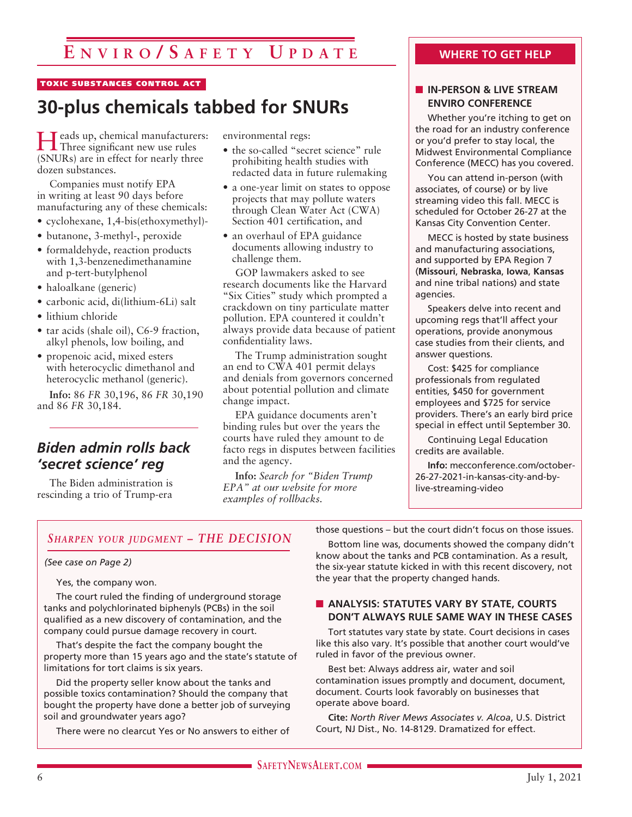#### TOXIC SUBSTANCES CONTROL ACT

# **30-plus chemicals tabbed for SNURs**

Heads up, chemical manufacturers: Three significant new use rules (SNURs) are in effect for nearly three dozen substances.

Companies must notify EPA in writing at least 90 days before manufacturing any of these chemicals:

- cyclohexane, 1,4-bis(ethoxymethyl)-
- butanone, 3-methyl-, peroxide
- formaldehyde, reaction products with 1,3-benzenedimethanamine and p-tert-butylphenol
- haloalkane (generic)
- carbonic acid, di(lithium-6Li) salt
- lithium chloride
- tar acids (shale oil), C6-9 fraction, alkyl phenols, low boiling, and
- propenoic acid, mixed esters with heterocyclic dimethanol and heterocyclic methanol (generic).

**Info:** 86 *FR* 30,196, 86 *FR* 30,190 and 86 *FR* 30,184.

## *Biden admin rolls back 'secret science' reg*

The Biden administration is rescinding a trio of Trump-era environmental regs:

- the so-called "secret science" rule prohibiting health studies with redacted data in future rulemaking
- a one-year limit on states to oppose projects that may pollute waters through Clean Water Act (CWA) Section 401 certification, and
- an overhaul of EPA guidance documents allowing industry to challenge them.

GOP lawmakers asked to see research documents like the Harvard "Six Cities" study which prompted a crackdown on tiny particulate matter pollution. EPA countered it couldn't always provide data because of patient confidentiality laws.

The Trump administration sought an end to CWA 401 permit delays and denials from governors concerned about potential pollution and climate change impact.

EPA guidance documents aren't binding rules but over the years the courts have ruled they amount to de facto regs in disputes between facilities and the agency.

**Info:** *Search for "Biden Trump EPA" at our website for more examples of rollbacks.*

#### **WHERE TO GET HELP**

#### **N** IN-PERSON & LIVE STREAM **ENVIRO CONFERENCE**

Whether you're itching to get on the road for an industry conference or you'd prefer to stay local, the Midwest Environmental Compliance Conference (MECC) has you covered.

You can attend in-person (with associates, of course) or by live streaming video this fall. MECC is scheduled for October 26-27 at the Kansas City Convention Center.

MECC is hosted by state business and manufacturing associations, and supported by EPA Region 7 (**Missouri**, **Nebraska**, **Iowa**, **Kansas**  and nine tribal nations) and state agencies.

Speakers delve into recent and upcoming regs that'll affect your operations, provide anonymous case studies from their clients, and answer questions.

Cost: \$425 for compliance professionals from regulated entities, \$450 for government employees and \$725 for service providers. There's an early bird price special in effect until September 30.

Continuing Legal Education credits are available.

**Info:** mecconference.com/october-26-27-2021-in-kansas-city-and-bylive-streaming-video

#### *Sharpen your judgment – THE DECISION*

#### *(See case on Page 2)*

Yes, the company won.

The court ruled the finding of underground storage tanks and polychlorinated biphenyls (PCBs) in the soil qualified as a new discovery of contamination, and the company could pursue damage recovery in court.

That's despite the fact the company bought the property more than 15 years ago and the state's statute of limitations for tort claims is six years.

Did the property seller know about the tanks and possible toxics contamination? Should the company that bought the property have done a better job of surveying soil and groundwater years ago?

There were no clearcut Yes or No answers to either of

those questions – but the court didn't focus on those issues.

Bottom line was, documents showed the company didn't know about the tanks and PCB contamination. As a result, the six-year statute kicked in with this recent discovery, not the year that the property changed hands.

#### **N** ANALYSIS: STATUTES VARY BY STATE, COURTS **DON'T ALWAYS RULE SAME WAY IN THESE CASES**

Tort statutes vary state by state. Court decisions in cases like this also vary. It's possible that another court would've ruled in favor of the previous owner.

Best bet: Always address air, water and soil contamination issues promptly and document, document, document. Courts look favorably on businesses that operate above board.

**Cite:** *North River Mews Associates v. Alcoa*, U.S. District Court, NJ Dist., No. 14-8129. Dramatized for effect.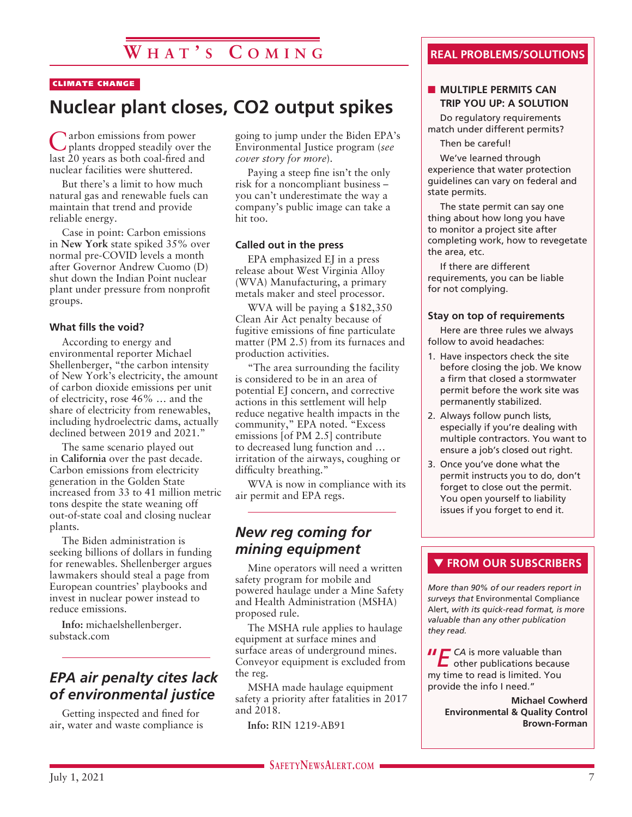#### CLIMATE CHANGE

# **Nuclear plant closes, CO2 output spikes**

Carbon emissions from power plants dropped steadily over the last 20 years as both coal-fired and nuclear facilities were shuttered.

But there's a limit to how much natural gas and renewable fuels can maintain that trend and provide reliable energy.

Case in point: Carbon emissions in **New York** state spiked 35% over normal pre-COVID levels a month after Governor Andrew Cuomo (D) shut down the Indian Point nuclear plant under pressure from nonprofit groups.

#### **What fills the void?**

According to energy and environmental reporter Michael Shellenberger, "the carbon intensity of New York's electricity, the amount of carbon dioxide emissions per unit of electricity, rose 46% … and the share of electricity from renewables, including hydroelectric dams, actually declined between 2019 and 2021."

The same scenario played out in **California** over the past decade. Carbon emissions from electricity generation in the Golden State increased from 33 to 41 million metric tons despite the state weaning off out-of-state coal and closing nuclear plants.

The Biden administration is seeking billions of dollars in funding for renewables. Shellenberger argues lawmakers should steal a page from European countries' playbooks and invest in nuclear power instead to reduce emissions.

**Info:** michaelshellenberger. substack.com

### *EPA air penalty cites lack of environmental justice*

Getting inspected and fined for air, water and waste compliance is going to jump under the Biden EPA's Environmental Justice program (*see cover story for more*).

Paying a steep fine isn't the only risk for a noncompliant business – you can't underestimate the way a company's public image can take a hit too.

#### **Called out in the press**

EPA emphasized EJ in a press release about West Virginia Alloy (WVA) Manufacturing, a primary metals maker and steel processor.

WVA will be paying a \$182,350 Clean Air Act penalty because of fugitive emissions of fine particulate matter (PM 2.5) from its furnaces and production activities.

"The area surrounding the facility is considered to be in an area of potential EJ concern, and corrective actions in this settlement will help reduce negative health impacts in the community," EPA noted. "Excess emissions [of PM 2.5] contribute to decreased lung function and … irritation of the airways, coughing or difficulty breathing."

WVA is now in compliance with its air permit and EPA regs.

### *New reg coming for mining equipment*

Mine operators will need a written safety program for mobile and powered haulage under a Mine Safety and Health Administration (MSHA) proposed rule.

The MSHA rule applies to haulage equipment at surface mines and surface areas of underground mines. Conveyor equipment is excluded from the reg.

MSHA made haulage equipment safety a priority after fatalities in 2017 and 2018.

**Info:** RIN 1219-AB91

#### **REAL PROBLEMS/SOLUTIONS**

#### **NULTIPLE PERMITS CAN TRIP YOU UP: A SOLUTION**

Do regulatory requirements match under different permits?

Then be careful!

We've learned through experience that water protection guidelines can vary on federal and state permits.

The state permit can say one thing about how long you have to monitor a project site after completing work, how to revegetate the area, etc.

If there are different requirements, you can be liable for not complying.

#### **Stay on top of requirements**

Here are three rules we always follow to avoid headaches:

- 1. Have inspectors check the site before closing the job. We know a firm that closed a stormwater permit before the work site was permanently stabilized.
- 2. Always follow punch lists, especially if you're dealing with multiple contractors. You want to ensure a job's closed out right.
- 3. Once you've done what the permit instructs you to do, don't forget to close out the permit. You open yourself to liability issues if you forget to end it.

#### **THE FROM OUR SUBSCRIBERS**

*More than 90% of our readers report in surveys that* Environmental Compliance Alert, *with its quick-read format, is more valuable than any other publication they read.*

**II E** CA is more valuable than<br>
other publications because my time to read is limited. You provide the info I need."

> **Michael Cowherd Environmental & Quality Control Brown-Forman**